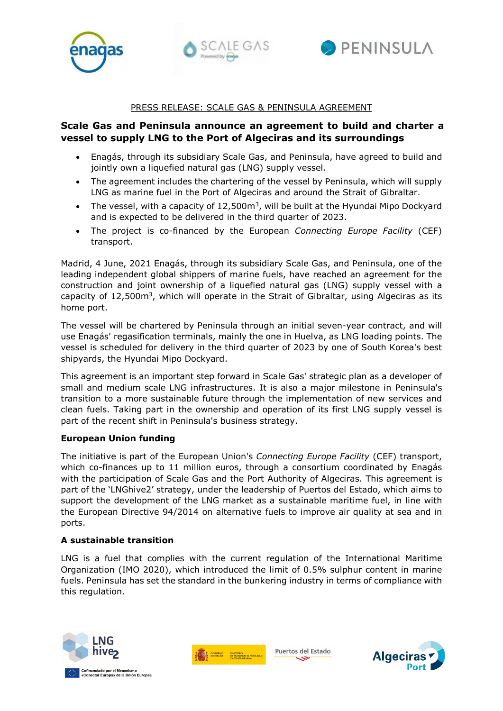





#### PRESS RELEASE: SCALE GAS & PENINSULA AGREEMENT

# **Scale Gas and Peninsula announce an agreement to build and charter a vessel to supply LNG to the Port of Algeciras and its surroundings**

- Enagás, through its subsidiary Scale Gas, and Peninsula, have agreed to build and jointly own a liquefied natural gas (LNG) supply vessel.
- The agreement includes the chartering of the vessel by Peninsula, which will supply LNG as marine fuel in the Port of Algeciras and around the Strait of Gibraltar.
- The vessel, with a capacity of  $12.500<sup>m3</sup>$ , will be built at the Hyundai Mipo Dockyard and is expected to be delivered in the third quarter of 2023.
- The project is co-financed by the European *Connecting Europe Facility* (CEF) transport.

Madrid, 4 June, 2021 Enagás, through its subsidiary Scale Gas, and Peninsula, one of the leading independent global shippers of marine fuels, have reached an agreement for the construction and joint ownership of a liquefied natural gas (LNG) supply vessel with a capacity of  $12,500m^3$ , which will operate in the Strait of Gibraltar, using Algeciras as its home port.

The vessel will be chartered by Peninsula through an initial seven-year contract, and will use Enagás' regasification terminals, mainly the one in Huelva, as LNG loading points. The vessel is scheduled for delivery in the third quarter of 2023 by one of South Korea's best shipyards, the Hyundai Mipo Dockyard.

This agreement is an important step forward in Scale Gas' strategic plan as a developer of small and medium scale LNG infrastructures. It is also a major milestone in Peninsula's transition to a more sustainable future through the implementation of new services and clean fuels. Taking part in the ownership and operation of its first LNG supply vessel is part of the recent shift in Peninsula's business strategy.

## **European Union funding**

The initiative is part of the European Union's *Connecting Europe Facility* (CEF) transport, which co-finances up to 11 million euros, through a consortium coordinated by Enagás with the participation of Scale Gas and the Port Authority of Algeciras. This agreement is part of the 'LNGhive2' strategy, under the leadership of Puertos del Estado, which aims to support the development of the LNG market as a sustainable maritime fuel, in line with the European Directive 94/2014 on alternative fuels to improve air quality at sea and in ports.

## **A sustainable transition**

LNG is a fuel that complies with the current regulation of the International Maritime Organization (IMO 2020), which introduced the limit of 0.5% sulphur content in marine fuels. Peninsula has set the standard in the bunkering industry in terms of compliance with this regulation.





Puertos del Estado

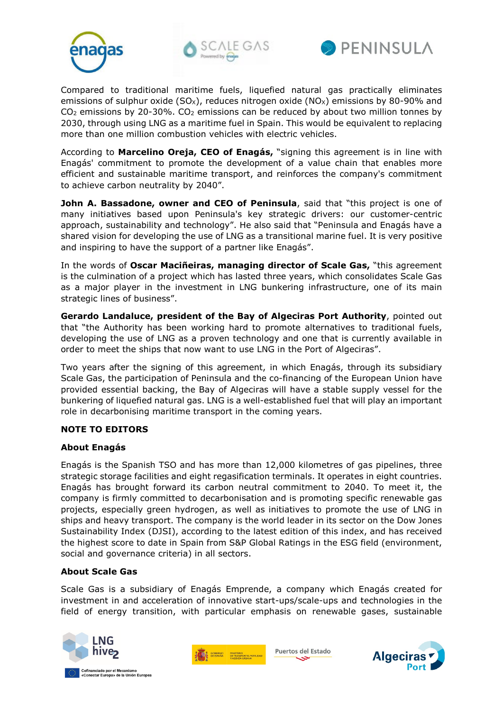





Compared to traditional maritime fuels, liquefied natural gas practically eliminates emissions of sulphur oxide (SO<sub>x</sub>), reduces nitrogen oxide (NO<sub>x</sub>) emissions by 80-90% and CO2 emissions by 20-30%. CO2 emissions can be reduced by about two million tonnes by 2030, through using LNG as a maritime fuel in Spain. This would be equivalent to replacing more than one million combustion vehicles with electric vehicles.

According to **Marcelino Oreja, CEO of Enagás,** "signing this agreement is in line with Enagás' commitment to promote the development of a value chain that enables more efficient and sustainable maritime transport, and reinforces the company's commitment to achieve carbon neutrality by 2040".

**John A. Bassadone, owner and CEO of Peninsula**, said that "this project is one of many initiatives based upon Peninsula's key strategic drivers: our customer-centric approach, sustainability and technology". He also said that "Peninsula and Enagás have a shared vision for developing the use of LNG as a transitional marine fuel. It is very positive and inspiring to have the support of a partner like Enagás".

In the words of **Oscar Maciñeiras, managing director of Scale Gas,** "this agreement is the culmination of a project which has lasted three years, which consolidates Scale Gas as a major player in the investment in LNG bunkering infrastructure, one of its main strategic lines of business".

**Gerardo Landaluce, president of the Bay of Algeciras Port Authority**, pointed out that "the Authority has been working hard to promote alternatives to traditional fuels, developing the use of LNG as a proven technology and one that is currently available in order to meet the ships that now want to use LNG in the Port of Algeciras".

Two years after the signing of this agreement, in which Enagás, through its subsidiary Scale Gas, the participation of Peninsula and the co-financing of the European Union have provided essential backing, the Bay of Algeciras will have a stable supply vessel for the bunkering of liquefied natural gas. LNG is a well-established fuel that will play an important role in decarbonising maritime transport in the coming years.

## **NOTE TO EDITORS**

## **About Enagás**

Enagás is the Spanish TSO and has more than 12,000 kilometres of gas pipelines, three strategic storage facilities and eight regasification terminals. It operates in eight countries. Enagás has brought forward its carbon neutral commitment to 2040. To meet it, the company is firmly committed to decarbonisation and is promoting specific renewable gas projects, especially green hydrogen, as well as initiatives to promote the use of LNG in ships and heavy transport. The company is the world leader in its sector on the Dow Jones Sustainability Index (DJSI), according to the latest edition of this index, and has received the highest score to date in Spain from S&P Global Ratings in the ESG field (environment, social and governance criteria) in all sectors.

## **About Scale Gas**

Scale Gas is a subsidiary of Enagás Emprende, a company which Enagás created for investment in and acceleration of innovative start-ups/scale-ups and technologies in the field of energy transition, with particular emphasis on renewable gases, sustainable





Puertos del Estado